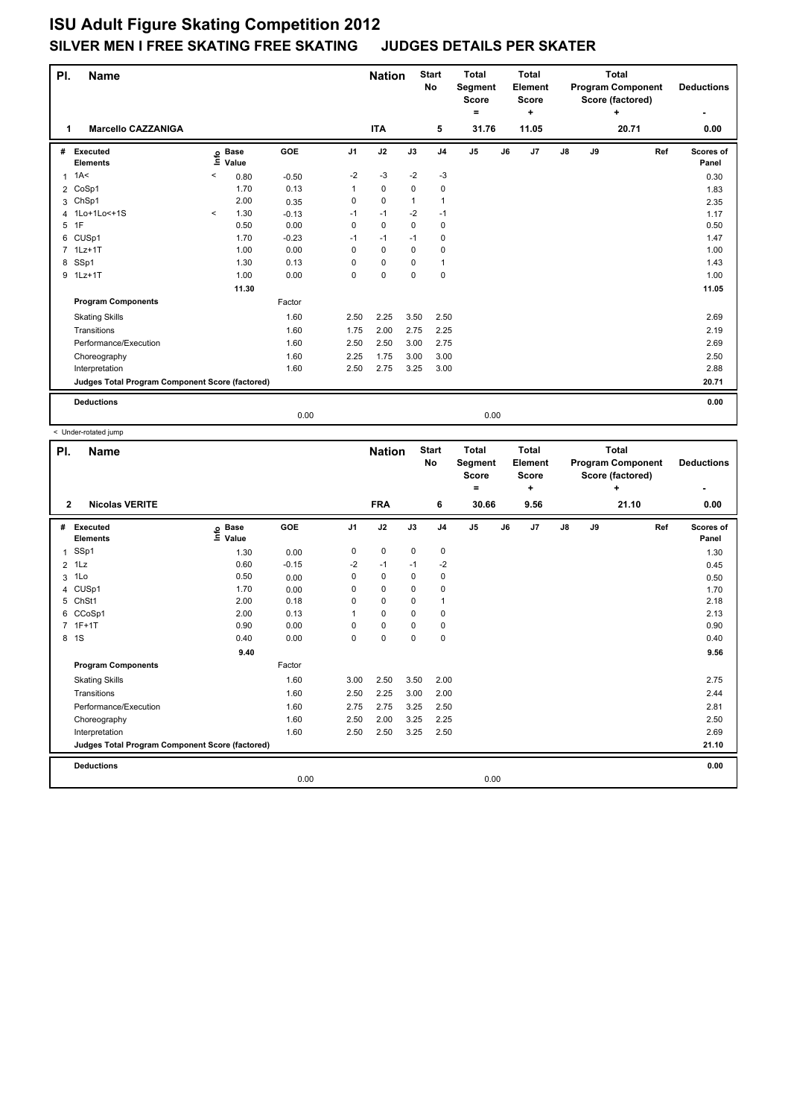| PI.<br><b>Name</b> |                                                 |         |                      |         |                |             | <b>Nation</b> | <b>Start</b><br>No | <b>Total</b><br>Segment<br><b>Score</b><br>$\equiv$ |    | <b>Total</b><br>Element<br>Score<br>٠ | <b>Total</b><br><b>Program Component</b><br>Score (factored)<br>٠ |    |       |     | <b>Deductions</b>  |  |
|--------------------|-------------------------------------------------|---------|----------------------|---------|----------------|-------------|---------------|--------------------|-----------------------------------------------------|----|---------------------------------------|-------------------------------------------------------------------|----|-------|-----|--------------------|--|
|                    | <b>Marcello CAZZANIGA</b>                       |         |                      |         |                | <b>ITA</b>  |               | 5                  | 31.76                                               |    | 11.05                                 |                                                                   |    | 20.71 |     | 0.00               |  |
| #                  | Executed<br><b>Elements</b>                     | ۴ê      | <b>Base</b><br>Value | GOE     | J <sub>1</sub> | J2          | J3            | J <sub>4</sub>     | $\mathsf{J}5$                                       | J6 | J7                                    | $\mathsf{J}8$                                                     | J9 |       | Ref | Scores of<br>Panel |  |
| 1                  | 1A<                                             | $\prec$ | 0.80                 | $-0.50$ | $-2$           | $-3$        | $-2$          | $-3$               |                                                     |    |                                       |                                                                   |    |       |     | 0.30               |  |
| $\overline{2}$     | CoSp1                                           |         | 1.70                 | 0.13    |                | $\mathbf 0$ | $\mathbf 0$   | 0                  |                                                     |    |                                       |                                                                   |    |       |     | 1.83               |  |
| 3                  | ChSp1                                           |         | 2.00                 | 0.35    | 0              | $\mathbf 0$ | $\mathbf 1$   | 1                  |                                                     |    |                                       |                                                                   |    |       |     | 2.35               |  |
|                    | 4 1Lo+1Lo<+1S                                   | $\,<\,$ | 1.30                 | $-0.13$ | $-1$           | $-1$        | $-2$          | $-1$               |                                                     |    |                                       |                                                                   |    |       |     | 1.17               |  |
|                    | 5 1F                                            |         | 0.50                 | 0.00    | 0              | $\mathbf 0$ | 0             | 0                  |                                                     |    |                                       |                                                                   |    |       |     | 0.50               |  |
| 6                  | CUSp1                                           |         | 1.70                 | $-0.23$ | $-1$           | $-1$        | $-1$          | 0                  |                                                     |    |                                       |                                                                   |    |       |     | 1.47               |  |
|                    | 7 1Lz+1T                                        |         | 1.00                 | 0.00    | 0              | $\mathbf 0$ | 0             | 0                  |                                                     |    |                                       |                                                                   |    |       |     | 1.00               |  |
| 8                  | SSp1                                            |         | 1.30                 | 0.13    | 0              | $\mathbf 0$ | $\Omega$      | 1                  |                                                     |    |                                       |                                                                   |    |       |     | 1.43               |  |
|                    | 9 1Lz+1T                                        |         | 1.00                 | 0.00    | 0              | $\mathbf 0$ | $\Omega$      | $\mathbf 0$        |                                                     |    |                                       |                                                                   |    |       |     | 1.00               |  |
|                    |                                                 |         | 11.30                |         |                |             |               |                    |                                                     |    |                                       |                                                                   |    |       |     | 11.05              |  |
|                    | <b>Program Components</b>                       |         |                      | Factor  |                |             |               |                    |                                                     |    |                                       |                                                                   |    |       |     |                    |  |
|                    | <b>Skating Skills</b>                           |         |                      | 1.60    | 2.50           | 2.25        | 3.50          | 2.50               |                                                     |    |                                       |                                                                   |    |       |     | 2.69               |  |
|                    | Transitions                                     |         |                      | 1.60    | 1.75           | 2.00        | 2.75          | 2.25               |                                                     |    |                                       |                                                                   |    |       |     | 2.19               |  |
|                    | Performance/Execution                           |         |                      | 1.60    | 2.50           | 2.50        | 3.00          | 2.75               |                                                     |    |                                       |                                                                   |    |       |     | 2.69               |  |
|                    | Choreography                                    |         |                      | 1.60    | 2.25           | 1.75        | 3.00          | 3.00               |                                                     |    |                                       |                                                                   |    |       |     | 2.50               |  |
|                    | Interpretation                                  |         |                      | 1.60    | 2.50           | 2.75        | 3.25          | 3.00               |                                                     |    |                                       |                                                                   |    |       |     | 2.88               |  |
|                    | Judges Total Program Component Score (factored) |         |                      |         |                |             |               |                    |                                                     |    |                                       |                                                                   |    |       |     | 20.71              |  |
|                    | <b>Deductions</b>                               |         |                      |         |                |             |               |                    |                                                     |    |                                       |                                                                   |    |       |     | 0.00               |  |
|                    |                                                 |         |                      | 0.00    |                |             |               |                    | 0.00                                                |    |                                       |                                                                   |    |       |     |                    |  |

< Under-rotated jump

| PI.            | <b>Name</b>                                     |                              |         |                | <b>Nation</b> |             | <b>Start</b><br>No | <b>Total</b><br>Segment<br>Score<br>۰ | <b>Total</b><br>Element<br><b>Score</b><br>٠ |               | Total<br><b>Program Component</b><br>Score (factored)<br>÷ |     | <b>Deductions</b>  |
|----------------|-------------------------------------------------|------------------------------|---------|----------------|---------------|-------------|--------------------|---------------------------------------|----------------------------------------------|---------------|------------------------------------------------------------|-----|--------------------|
| $\mathbf{2}$   | <b>Nicolas VERITE</b>                           |                              |         |                | <b>FRA</b>    |             | 6                  | 30.66                                 | 9.56                                         |               | 21.10                                                      |     | 0.00               |
| #              | Executed<br><b>Elements</b>                     | <b>Base</b><br>١mfo<br>Value | GOE     | J <sub>1</sub> | J2            | J3          | J <sub>4</sub>     | J <sub>5</sub>                        | J7<br>J6                                     | $\mathsf{J}8$ | J9                                                         | Ref | Scores of<br>Panel |
| $\overline{1}$ | SSp1                                            | 1.30                         | 0.00    | 0              | $\mathbf 0$   | $\mathbf 0$ | $\mathbf 0$        |                                       |                                              |               |                                                            |     | 1.30               |
| $\overline{2}$ | 1Lz                                             | 0.60                         | $-0.15$ | $-2$           | $-1$          | $-1$        | $-2$               |                                       |                                              |               |                                                            |     | 0.45               |
| 3              | 1Lo                                             | 0.50                         | 0.00    | 0              | $\mathbf 0$   | $\Omega$    | $\mathbf 0$        |                                       |                                              |               |                                                            |     | 0.50               |
| 4              | CUSp1                                           | 1.70                         | 0.00    | 0              | $\mathbf 0$   | $\mathbf 0$ | $\mathbf 0$        |                                       |                                              |               |                                                            |     | 1.70               |
| 5              | ChSt1                                           | 2.00                         | 0.18    | 0              | $\mathbf 0$   | 0           | $\mathbf{1}$       |                                       |                                              |               |                                                            |     | 2.18               |
| 6              | CCoSp1                                          | 2.00                         | 0.13    | 1              | 0             | $\Omega$    | 0                  |                                       |                                              |               |                                                            |     | 2.13               |
|                | 7 1F+1T                                         | 0.90                         | 0.00    | 0              | $\mathbf 0$   | 0           | 0                  |                                       |                                              |               |                                                            |     | 0.90               |
|                | 8 1S                                            | 0.40                         | 0.00    | 0              | $\mathbf 0$   | $\mathbf 0$ | $\mathbf 0$        |                                       |                                              |               |                                                            |     | 0.40               |
|                |                                                 | 9.40                         |         |                |               |             |                    |                                       |                                              |               |                                                            |     | 9.56               |
|                | <b>Program Components</b>                       |                              | Factor  |                |               |             |                    |                                       |                                              |               |                                                            |     |                    |
|                | <b>Skating Skills</b>                           |                              | 1.60    | 3.00           | 2.50          | 3.50        | 2.00               |                                       |                                              |               |                                                            |     | 2.75               |
|                | Transitions                                     |                              | 1.60    | 2.50           | 2.25          | 3.00        | 2.00               |                                       |                                              |               |                                                            |     | 2.44               |
|                | Performance/Execution                           |                              | 1.60    | 2.75           | 2.75          | 3.25        | 2.50               |                                       |                                              |               |                                                            |     | 2.81               |
|                | Choreography                                    |                              | 1.60    | 2.50           | 2.00          | 3.25        | 2.25               |                                       |                                              |               |                                                            |     | 2.50               |
|                | Interpretation                                  |                              | 1.60    | 2.50           | 2.50          | 3.25        | 2.50               |                                       |                                              |               |                                                            |     | 2.69               |
|                | Judges Total Program Component Score (factored) |                              |         |                |               |             |                    |                                       |                                              |               |                                                            |     | 21.10              |
|                | <b>Deductions</b>                               |                              |         |                |               |             |                    |                                       |                                              |               |                                                            |     | 0.00               |
|                |                                                 |                              | 0.00    |                |               |             |                    | 0.00                                  |                                              |               |                                                            |     |                    |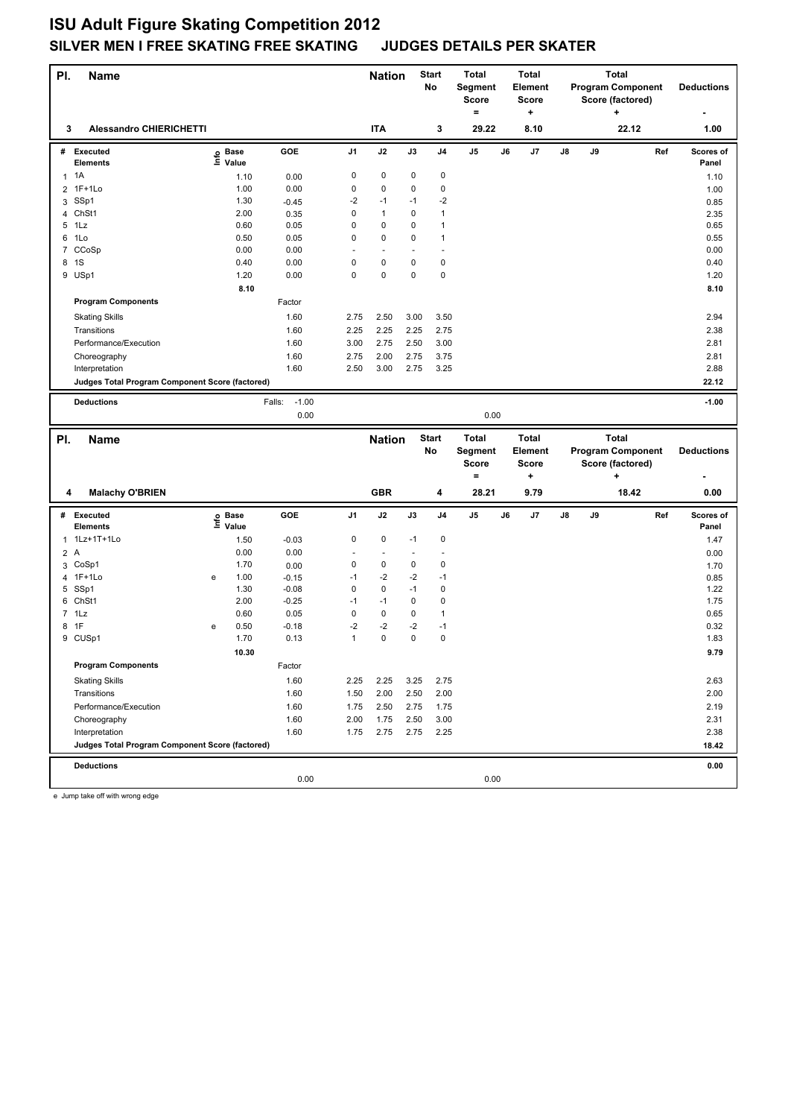| PI.            | <b>Name</b>                                     |                   |       |                   |              | <b>Nation</b>            |             | <b>Start</b><br>No | <b>Total</b><br><b>Segment</b><br><b>Score</b><br>$=$ |    | <b>Total</b><br><b>Element</b><br><b>Score</b><br>+ |    | <b>Total</b><br><b>Program Component</b><br>Score (factored)<br>+ |                          |     | <b>Deductions</b>  |
|----------------|-------------------------------------------------|-------------------|-------|-------------------|--------------|--------------------------|-------------|--------------------|-------------------------------------------------------|----|-----------------------------------------------------|----|-------------------------------------------------------------------|--------------------------|-----|--------------------|
| 3              | <b>Alessandro CHIERICHETTI</b>                  |                   |       |                   |              | <b>ITA</b>               |             | 3                  | 29.22                                                 |    | 8.10                                                |    |                                                                   | 22.12                    |     | 1.00               |
|                | # Executed<br><b>Elements</b>                   | e Base<br>E Value | Value | GOE               | J1           | J2                       | J3          | J <sub>4</sub>     | J5                                                    | J6 | J7                                                  | J8 | J9                                                                |                          | Ref | Scores of<br>Panel |
|                | $1 \t1A$                                        |                   | 1.10  | 0.00              | 0            | $\pmb{0}$                | 0           | $\pmb{0}$          |                                                       |    |                                                     |    |                                                                   |                          |     | 1.10               |
| $\overline{2}$ | $1F+1Lo$                                        |                   | 1.00  | 0.00              | 0            | $\mathbf 0$              | $\mathbf 0$ | $\pmb{0}$          |                                                       |    |                                                     |    |                                                                   |                          |     | 1.00               |
| 3              | SSp1                                            |                   | 1.30  | $-0.45$           | $-2$         | $-1$                     | $-1$        | $-2$               |                                                       |    |                                                     |    |                                                                   |                          |     | 0.85               |
| 4              | ChSt1                                           |                   | 2.00  | 0.35              | 0            | $\mathbf{1}$             | 0           | $\mathbf{1}$       |                                                       |    |                                                     |    |                                                                   |                          |     | 2.35               |
|                | 5 1Lz                                           |                   | 0.60  | 0.05              | 0            | $\pmb{0}$                | 0           | $\mathbf{1}$       |                                                       |    |                                                     |    |                                                                   |                          |     | 0.65               |
| 6              | 1Lo                                             |                   | 0.50  | 0.05              | 0            | $\pmb{0}$                | 0           | $\mathbf{1}$       |                                                       |    |                                                     |    |                                                                   |                          |     | 0.55               |
|                | 7 CCoSp                                         |                   | 0.00  | 0.00              | Ē,           | ÷,                       |             | $\sim$             |                                                       |    |                                                     |    |                                                                   |                          |     | 0.00               |
|                | 8 1S                                            |                   | 0.40  | 0.00              | 0            | 0                        | 0           | $\pmb{0}$          |                                                       |    |                                                     |    |                                                                   |                          |     | 0.40               |
| 9              | USp1                                            |                   | 1.20  | 0.00              | $\mathbf 0$  | $\pmb{0}$                | 0           | $\mathbf 0$        |                                                       |    |                                                     |    |                                                                   |                          |     | 1.20               |
|                |                                                 |                   | 8.10  |                   |              |                          |             |                    |                                                       |    |                                                     |    |                                                                   |                          |     | 8.10               |
|                | <b>Program Components</b>                       |                   |       | Factor            |              |                          |             |                    |                                                       |    |                                                     |    |                                                                   |                          |     |                    |
|                | <b>Skating Skills</b>                           |                   |       | 1.60              | 2.75         | 2.50                     | 3.00        | 3.50               |                                                       |    |                                                     |    |                                                                   |                          |     | 2.94               |
|                | Transitions                                     |                   |       | 1.60              | 2.25         | 2.25                     | 2.25        | 2.75               |                                                       |    |                                                     |    |                                                                   |                          |     | 2.38               |
|                | Performance/Execution                           |                   |       | 1.60              | 3.00         | 2.75                     | 2.50        | 3.00               |                                                       |    |                                                     |    |                                                                   |                          |     | 2.81               |
|                |                                                 |                   |       |                   |              |                          |             |                    |                                                       |    |                                                     |    |                                                                   |                          |     |                    |
|                | Choreography                                    |                   |       | 1.60              | 2.75         | 2.00                     | 2.75        | 3.75               |                                                       |    |                                                     |    |                                                                   |                          |     | 2.81               |
|                | Interpretation                                  |                   |       | 1.60              | 2.50         | 3.00                     | 2.75        | 3.25               |                                                       |    |                                                     |    |                                                                   |                          |     | 2.88               |
|                | Judges Total Program Component Score (factored) |                   |       |                   |              |                          |             |                    |                                                       |    |                                                     |    |                                                                   |                          |     | 22.12              |
|                | <b>Deductions</b>                               |                   |       | $-1.00$<br>Falls: |              |                          |             |                    |                                                       |    |                                                     |    |                                                                   |                          |     | $-1.00$            |
|                |                                                 |                   |       | 0.00              |              |                          |             |                    | 0.00                                                  |    |                                                     |    |                                                                   |                          |     |                    |
|                |                                                 |                   |       |                   |              |                          |             |                    |                                                       |    |                                                     |    |                                                                   |                          |     |                    |
|                |                                                 |                   |       |                   |              |                          |             |                    |                                                       |    |                                                     |    |                                                                   |                          |     |                    |
| PI.            | <b>Name</b>                                     |                   |       |                   |              | <b>Nation</b>            |             | <b>Start</b>       | <b>Total</b>                                          |    | <b>Total</b>                                        |    |                                                                   | <b>Total</b>             |     |                    |
|                |                                                 |                   |       |                   |              |                          |             | No                 | Segment                                               |    | Element                                             |    |                                                                   | <b>Program Component</b> |     | <b>Deductions</b>  |
|                |                                                 |                   |       |                   |              |                          |             |                    | <b>Score</b>                                          |    | <b>Score</b>                                        |    |                                                                   | Score (factored)         |     |                    |
|                |                                                 |                   |       |                   |              |                          |             |                    | $\equiv$                                              |    | ٠                                                   |    |                                                                   | ÷                        |     |                    |
| 4              | <b>Malachy O'BRIEN</b>                          |                   |       |                   |              | <b>GBR</b>               |             | 4                  | 28.21                                                 |    | 9.79                                                |    |                                                                   | 18.42                    |     | 0.00               |
|                | # Executed<br><b>Elements</b>                   |                   | Value | GOE               | J1           | J2                       | J3          | J <sub>4</sub>     | J5                                                    | J6 | J7                                                  | J8 | J9                                                                |                          | Ref | Scores of<br>Panel |
|                | 1Lz+1T+1Lo                                      | e Base<br>E Value |       |                   | $\pmb{0}$    | $\pmb{0}$                | $-1$        | $\mathbf 0$        |                                                       |    |                                                     |    |                                                                   |                          |     |                    |
| $\mathbf{1}$   |                                                 |                   | 1.50  | $-0.03$           | ÷,           | $\overline{\phantom{a}}$ | ٠           | $\sim$             |                                                       |    |                                                     |    |                                                                   |                          |     | 1.47               |
| 2A             |                                                 |                   | 0.00  | 0.00              |              |                          |             |                    |                                                       |    |                                                     |    |                                                                   |                          |     | 0.00               |
| 3              | CoSp1                                           |                   | 1.70  | 0.00              | 0            | $\pmb{0}$                | 0           | 0                  |                                                       |    |                                                     |    |                                                                   |                          |     | 1.70               |
| 4              | $1F+1Lo$                                        | е                 | 1.00  | $-0.15$           | $-1$         | $-2$                     | $-2$        | $-1$               |                                                       |    |                                                     |    |                                                                   |                          |     | 0.85               |
| 5              | SSp1                                            |                   | 1.30  | $-0.08$           | 0            | $\pmb{0}$                | $-1$        | $\mathbf 0$        |                                                       |    |                                                     |    |                                                                   |                          |     | 1.22               |
| 6              | ChSt1                                           |                   | 2.00  | $-0.25$           | $-1$         | $-1$                     | 0           | $\pmb{0}$          |                                                       |    |                                                     |    |                                                                   |                          |     | 1.75               |
|                | $7$ 1 Lz                                        |                   | 0.60  | 0.05              | 0            | $\pmb{0}$                | 0           | $\mathbf{1}$       |                                                       |    |                                                     |    |                                                                   |                          |     | 0.65               |
| 8              | 1F                                              | e                 | 0.50  | $-0.18$           | $-2$         | $-2$                     | $-2$        | $-1$               |                                                       |    |                                                     |    |                                                                   |                          |     | 0.32               |
|                | 9 CUSp1                                         |                   | 1.70  | 0.13              | $\mathbf{1}$ | $\pmb{0}$                | 0           | $\mathbf 0$        |                                                       |    |                                                     |    |                                                                   |                          |     | 1.83               |
|                |                                                 |                   | 10.30 |                   |              |                          |             |                    |                                                       |    |                                                     |    |                                                                   |                          |     | 9.79               |
|                | <b>Program Components</b>                       |                   |       | Factor            |              |                          |             |                    |                                                       |    |                                                     |    |                                                                   |                          |     |                    |
|                | <b>Skating Skills</b>                           |                   |       | 1.60              | 2.25         | 2.25                     | 3.25        | 2.75               |                                                       |    |                                                     |    |                                                                   |                          |     | 2.63               |
|                | Transitions                                     |                   |       | 1.60              | 1.50         | 2.00                     | 2.50        | 2.00               |                                                       |    |                                                     |    |                                                                   |                          |     | 2.00               |
|                | Performance/Execution                           |                   |       | 1.60              | 1.75         | 2.50                     | 2.75        | 1.75               |                                                       |    |                                                     |    |                                                                   |                          |     | 2.19               |
|                | Choreography                                    |                   |       | 1.60              | 2.00         | 1.75                     | 2.50        | 3.00               |                                                       |    |                                                     |    |                                                                   |                          |     | 2.31               |
|                | Interpretation                                  |                   |       | 1.60              | 1.75         | 2.75                     | 2.75        | 2.25               |                                                       |    |                                                     |    |                                                                   |                          |     | 2.38               |
|                | Judges Total Program Component Score (factored) |                   |       |                   |              |                          |             |                    |                                                       |    |                                                     |    |                                                                   |                          |     | 18.42              |
|                |                                                 |                   |       |                   |              |                          |             |                    |                                                       |    |                                                     |    |                                                                   |                          |     |                    |
|                | <b>Deductions</b>                               |                   |       | 0.00              |              |                          |             |                    | 0.00                                                  |    |                                                     |    |                                                                   |                          |     | 0.00               |

e Jump take off with wrong edge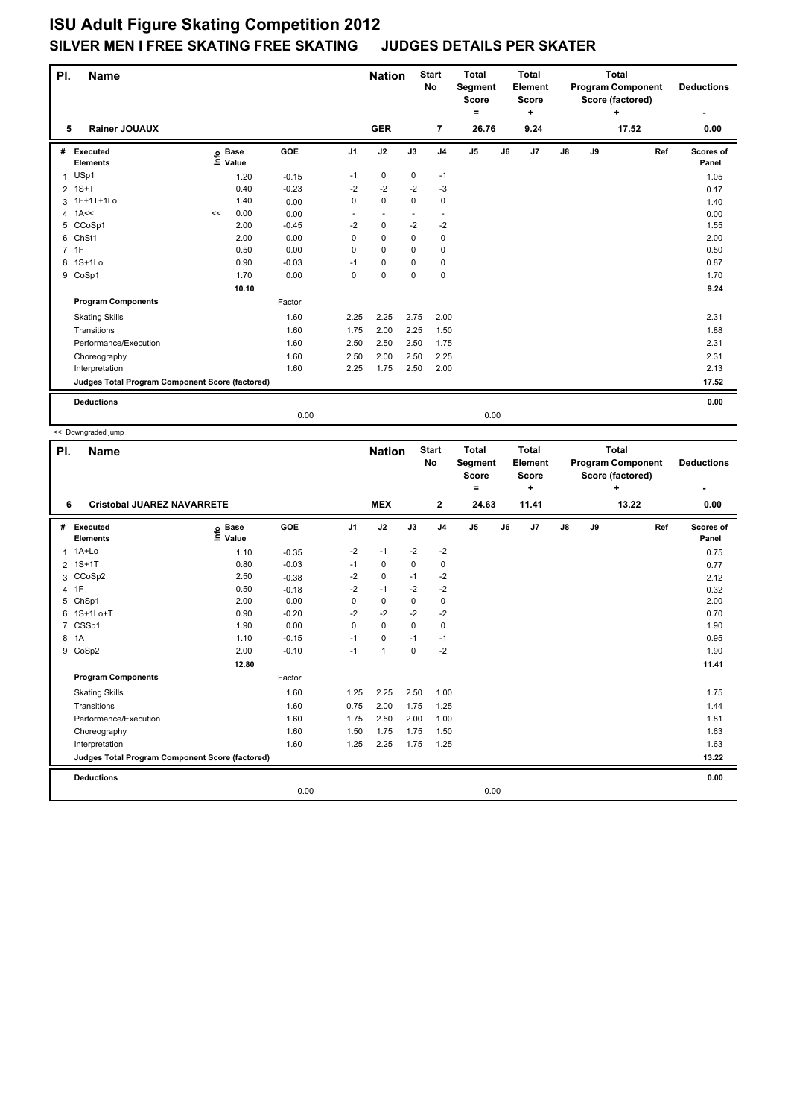| PI.<br><b>Name</b> |                                                 |    |                            |            |      | <b>Nation</b>            |                          | <b>Start</b><br><b>No</b> | <b>Total</b><br>Segment<br><b>Score</b> |    | <b>Total</b><br>Element<br><b>Score</b> |               |    | <b>Total</b><br><b>Program Component</b><br>Score (factored) |     | <b>Deductions</b>  |
|--------------------|-------------------------------------------------|----|----------------------------|------------|------|--------------------------|--------------------------|---------------------------|-----------------------------------------|----|-----------------------------------------|---------------|----|--------------------------------------------------------------|-----|--------------------|
|                    |                                                 |    |                            |            |      |                          |                          |                           | ۰                                       |    | ٠                                       |               |    | ÷                                                            |     | ۰                  |
| 5                  | <b>Rainer JOUAUX</b>                            |    |                            |            |      | <b>GER</b>               |                          | $\overline{7}$            | 26.76                                   |    | 9.24                                    |               |    | 17.52                                                        |     | 0.00               |
| #                  | <b>Executed</b><br><b>Elements</b>              |    | e Base<br>E Value<br>Value | <b>GOE</b> | J1   | J2                       | J3                       | J <sub>4</sub>            | J5                                      | J6 | J7                                      | $\mathsf{J}8$ | J9 |                                                              | Ref | Scores of<br>Panel |
| 1                  | USp1                                            |    | 1.20                       | $-0.15$    | $-1$ | 0                        | $\mathbf 0$              | $-1$                      |                                         |    |                                         |               |    |                                                              |     | 1.05               |
|                    | $2$ 1S+T                                        |    | 0.40                       | $-0.23$    | $-2$ | $-2$                     | $-2$                     | -3                        |                                         |    |                                         |               |    |                                                              |     | 0.17               |
|                    | 3 1F+1T+1Lo                                     |    | 1.40                       | 0.00       | 0    | 0                        | 0                        | 0                         |                                         |    |                                         |               |    |                                                              |     | 1.40               |
| $\overline{4}$     | 1A<<                                            | << | 0.00                       | 0.00       | ٠    | $\overline{\phantom{a}}$ | $\overline{\phantom{a}}$ | $\overline{\phantom{a}}$  |                                         |    |                                         |               |    |                                                              |     | 0.00               |
| 5                  | CCoSp1                                          |    | 2.00                       | $-0.45$    | $-2$ | $\mathbf 0$              | $-2$                     | $-2$                      |                                         |    |                                         |               |    |                                                              |     | 1.55               |
| 6                  | ChSt1                                           |    | 2.00                       | 0.00       | 0    | 0                        | 0                        | 0                         |                                         |    |                                         |               |    |                                                              |     | 2.00               |
|                    | 7 1F                                            |    | 0.50                       | 0.00       | 0    | 0                        | 0                        | 0                         |                                         |    |                                         |               |    |                                                              |     | 0.50               |
| 8                  | $1S+1L0$                                        |    | 0.90                       | $-0.03$    | $-1$ | 0                        | 0                        | 0                         |                                         |    |                                         |               |    |                                                              |     | 0.87               |
| 9                  | CoSp1                                           |    | 1.70                       | 0.00       | 0    | $\mathbf 0$              | $\mathbf 0$              | $\mathbf 0$               |                                         |    |                                         |               |    |                                                              |     | 1.70               |
|                    |                                                 |    | 10.10                      |            |      |                          |                          |                           |                                         |    |                                         |               |    |                                                              |     | 9.24               |
|                    | <b>Program Components</b>                       |    |                            | Factor     |      |                          |                          |                           |                                         |    |                                         |               |    |                                                              |     |                    |
|                    | <b>Skating Skills</b>                           |    |                            | 1.60       | 2.25 | 2.25                     | 2.75                     | 2.00                      |                                         |    |                                         |               |    |                                                              |     | 2.31               |
|                    | Transitions                                     |    |                            | 1.60       | 1.75 | 2.00                     | 2.25                     | 1.50                      |                                         |    |                                         |               |    |                                                              |     | 1.88               |
|                    | Performance/Execution                           |    |                            | 1.60       | 2.50 | 2.50                     | 2.50                     | 1.75                      |                                         |    |                                         |               |    |                                                              |     | 2.31               |
|                    | Choreography                                    |    |                            | 1.60       | 2.50 | 2.00                     | 2.50                     | 2.25                      |                                         |    |                                         |               |    |                                                              |     | 2.31               |
|                    | Interpretation                                  |    |                            | 1.60       | 2.25 | 1.75                     | 2.50                     | 2.00                      |                                         |    |                                         |               |    |                                                              |     | 2.13               |
|                    | Judges Total Program Component Score (factored) |    |                            |            |      |                          |                          |                           |                                         |    |                                         |               |    |                                                              |     | 17.52              |
|                    | <b>Deductions</b>                               |    |                            |            |      |                          |                          |                           |                                         |    |                                         |               |    |                                                              |     | 0.00               |
|                    |                                                 |    |                            | 0.00       |      |                          |                          |                           | 0.00                                    |    |                                         |               |    |                                                              |     |                    |

<< Downgraded jump

| PI.            | <b>Name</b>                                     |                              |         |                | <b>Nation</b> |          | <b>Start</b><br><b>No</b> | <b>Total</b><br>Segment<br><b>Score</b><br>۰ | <b>Total</b><br>Element<br>Score<br>÷ |       | <b>Total</b><br><b>Program Component</b><br>Score (factored)<br>÷ |    |       |     | <b>Deductions</b><br>$\blacksquare$ |  |
|----------------|-------------------------------------------------|------------------------------|---------|----------------|---------------|----------|---------------------------|----------------------------------------------|---------------------------------------|-------|-------------------------------------------------------------------|----|-------|-----|-------------------------------------|--|
| 6              | <b>Cristobal JUAREZ NAVARRETE</b>               |                              |         |                | <b>MEX</b>    |          | $\mathbf{2}$              | 24.63                                        |                                       | 11.41 |                                                                   |    | 13.22 |     | 0.00                                |  |
| #              | Executed<br><b>Elements</b>                     | <b>Base</b><br>١mfo<br>Value | GOE     | J <sub>1</sub> | J2            | J3       | J <sub>4</sub>            | J <sub>5</sub>                               | J6                                    | J7    | J8                                                                | J9 |       | Ref | Scores of<br>Panel                  |  |
|                | 1 1A+Lo                                         | 1.10                         | $-0.35$ | $-2$           | $-1$          | $-2$     | $-2$                      |                                              |                                       |       |                                                                   |    |       |     | 0.75                                |  |
| $\overline{2}$ | $1S+1T$                                         | 0.80                         | $-0.03$ | $-1$           | 0             | 0        | 0                         |                                              |                                       |       |                                                                   |    |       |     | 0.77                                |  |
| 3              | CCoSp2                                          | 2.50                         | $-0.38$ | $-2$           | $\mathbf 0$   | $-1$     | $-2$                      |                                              |                                       |       |                                                                   |    |       |     | 2.12                                |  |
| 4              | 1F                                              | 0.50                         | $-0.18$ | $-2$           | $-1$          | $-2$     | $-2$                      |                                              |                                       |       |                                                                   |    |       |     | 0.32                                |  |
| 5              | ChSp1                                           | 2.00                         | 0.00    | 0              | $\mathbf 0$   | $\Omega$ | 0                         |                                              |                                       |       |                                                                   |    |       |     | 2.00                                |  |
| 6              | 1S+1Lo+T                                        | 0.90                         | $-0.20$ | $-2$           | $-2$          | $-2$     | $-2$                      |                                              |                                       |       |                                                                   |    |       |     | 0.70                                |  |
| $\overline{7}$ | CSSp1                                           | 1.90                         | 0.00    | 0              | $\mathbf 0$   | $\Omega$ | $\mathbf 0$               |                                              |                                       |       |                                                                   |    |       |     | 1.90                                |  |
| 8              | 1A                                              | 1.10                         | $-0.15$ | $-1$           | 0             | $-1$     | $-1$                      |                                              |                                       |       |                                                                   |    |       |     | 0.95                                |  |
|                | 9 CoSp2                                         | 2.00                         | $-0.10$ | $-1$           | $\mathbf{1}$  | $\Omega$ | $-2$                      |                                              |                                       |       |                                                                   |    |       |     | 1.90                                |  |
|                |                                                 | 12.80                        |         |                |               |          |                           |                                              |                                       |       |                                                                   |    |       |     | 11.41                               |  |
|                | <b>Program Components</b>                       |                              | Factor  |                |               |          |                           |                                              |                                       |       |                                                                   |    |       |     |                                     |  |
|                | <b>Skating Skills</b>                           |                              | 1.60    | 1.25           | 2.25          | 2.50     | 1.00                      |                                              |                                       |       |                                                                   |    |       |     | 1.75                                |  |
|                | Transitions                                     |                              | 1.60    | 0.75           | 2.00          | 1.75     | 1.25                      |                                              |                                       |       |                                                                   |    |       |     | 1.44                                |  |
|                | Performance/Execution                           |                              | 1.60    | 1.75           | 2.50          | 2.00     | 1.00                      |                                              |                                       |       |                                                                   |    |       |     | 1.81                                |  |
|                | Choreography                                    |                              | 1.60    | 1.50           | 1.75          | 1.75     | 1.50                      |                                              |                                       |       |                                                                   |    |       |     | 1.63                                |  |
|                | Interpretation                                  |                              | 1.60    | 1.25           | 2.25          | 1.75     | 1.25                      |                                              |                                       |       |                                                                   |    |       |     | 1.63                                |  |
|                | Judges Total Program Component Score (factored) |                              |         |                |               |          |                           |                                              |                                       |       |                                                                   |    |       |     | 13.22                               |  |
|                | <b>Deductions</b>                               |                              |         |                |               |          |                           |                                              |                                       |       |                                                                   |    |       |     | 0.00                                |  |
|                |                                                 |                              | 0.00    |                |               |          |                           | 0.00                                         |                                       |       |                                                                   |    |       |     |                                     |  |